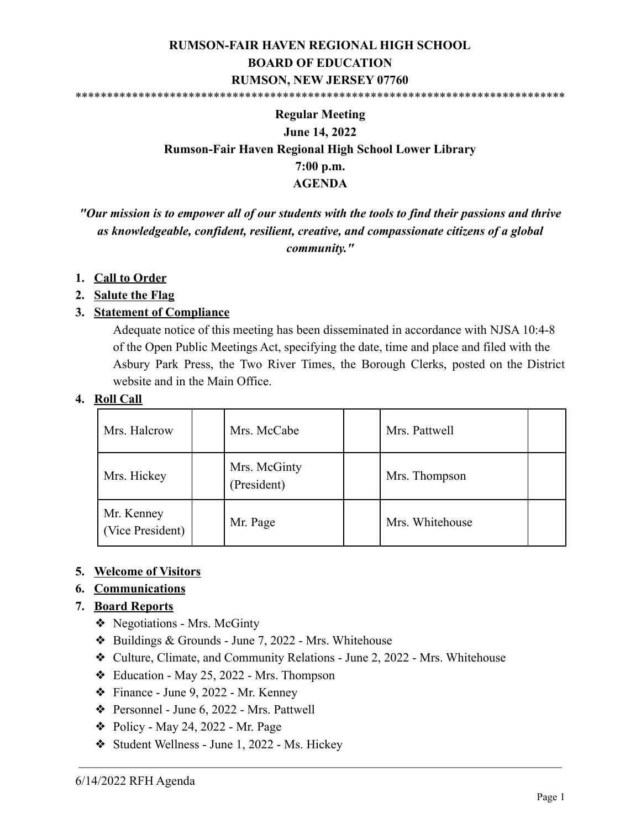#### **RUMSON-FAIR HAVEN REGIONAL HIGH SCHOOL BOARD OF EDUCATION RUMSON, NEW JERSEY 07760** \*\*\*\*\*\*\*\*\*\*\*\*\*\*\*\*\*\*\*\*\*\*\*\*\*\*\*\*\*\*\*\*\*\*\*\*\*\*\*\*\*\*\*\*\*\*\*\*\*\*\*\*\*\*\*\*\*\*\*\*\*\*\*\*\*\*\*\*\*\*\*\*\*\*\*\*\*\*

# **Regular Meeting June 14, 2022 Rumson-Fair Haven Regional High School Lower Library 7:00 p.m. AGENDA**

*"Our mission is to empower all of our students with the tools to find their passions and thrive as knowledgeable, confident, resilient, creative, and compassionate citizens of a global community."*

#### **1. Call to Order**

#### **2. Salute the Flag**

#### **3. Statement of Compliance**

Adequate notice of this meeting has been disseminated in accordance with NJSA 10:4-8 of the Open Public Meetings Act, specifying the date, time and place and filed with the Asbury Park Press, the Two River Times, the Borough Clerks, posted on the District website and in the Main Office.

#### **4. Roll Call**

| Mrs. Halcrow                   | Mrs. McCabe                 | Mrs. Pattwell   |  |
|--------------------------------|-----------------------------|-----------------|--|
| Mrs. Hickey                    | Mrs. McGinty<br>(President) | Mrs. Thompson   |  |
| Mr. Kenney<br>(Vice President) | Mr. Page                    | Mrs. Whitehouse |  |

#### **5. Welcome of Visitors**

#### **6. Communications**

#### **7. Board Reports**

- ❖ Negotiations Mrs. McGinty
- ❖ Buildings & Grounds June 7, 2022 Mrs. Whitehouse
- ❖ Culture, Climate, and Community Relations June 2, 2022 Mrs. Whitehouse
- ❖ Education May 25, 2022 Mrs. Thompson
- ❖ Finance June 9, 2022 Mr. Kenney
- ❖ Personnel June 6, 2022 Mrs. Pattwell
- $\triangle$  Policy May 24, 2022 Mr. Page
- ❖ Student Wellness June 1, 2022 Ms. Hickey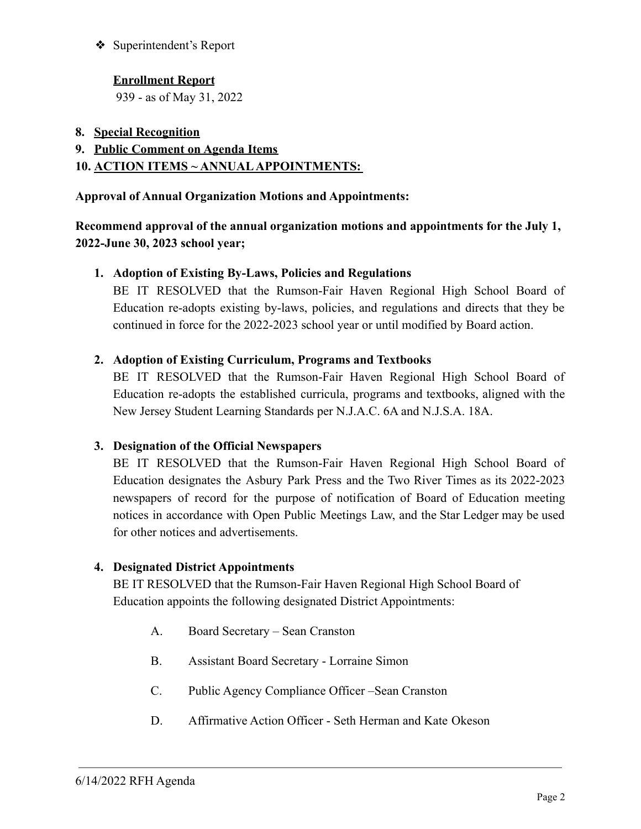❖ Superintendent's Report

## **Enrollment Report**

939 - as of May 31, 2022

- **8. Special Recognition**
- **9. Public Comment on Agenda Items**

## **10. ACTION ITEMS ~ ANNUALAPPOINTMENTS:**

#### **Approval of Annual Organization Motions and Appointments:**

## **Recommend approval of the annual organization motions and appointments for the July 1, 2022-June 30, 2023 school year;**

## **1. Adoption of Existing By-Laws, Policies and Regulations**

BE IT RESOLVED that the Rumson-Fair Haven Regional High School Board of Education re-adopts existing by-laws, policies, and regulations and directs that they be continued in force for the 2022-2023 school year or until modified by Board action.

#### **2. Adoption of Existing Curriculum, Programs and Textbooks**

BE IT RESOLVED that the Rumson-Fair Haven Regional High School Board of Education re-adopts the established curricula, programs and textbooks, aligned with the New Jersey Student Learning Standards per N.J.A.C. 6A and N.J.S.A. 18A.

#### **3. Designation of the Official Newspapers**

BE IT RESOLVED that the Rumson-Fair Haven Regional High School Board of Education designates the Asbury Park Press and the Two River Times as its 2022-2023 newspapers of record for the purpose of notification of Board of Education meeting notices in accordance with Open Public Meetings Law, and the Star Ledger may be used for other notices and advertisements.

## **4. Designated District Appointments**

BE IT RESOLVED that the Rumson-Fair Haven Regional High School Board of Education appoints the following designated District Appointments:

- A. Board Secretary Sean Cranston
- B. Assistant Board Secretary Lorraine Simon
- C. Public Agency Compliance Officer –Sean Cranston
- D. Affirmative Action Officer Seth Herman and Kate Okeson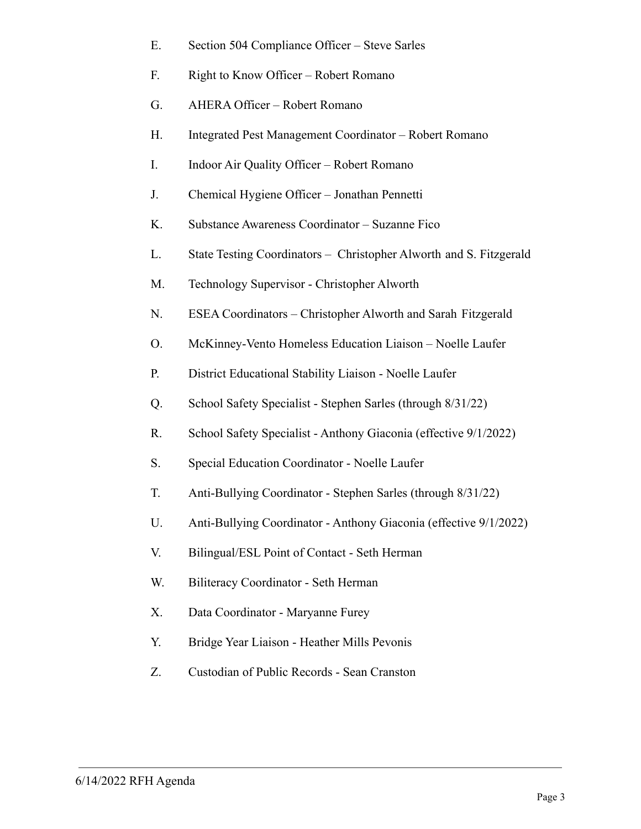| Е. | Section 504 Compliance Officer – Steve Sarles                      |
|----|--------------------------------------------------------------------|
| F. | Right to Know Officer - Robert Romano                              |
| G. | AHERA Officer - Robert Romano                                      |
| Н. | Integrated Pest Management Coordinator – Robert Romano             |
| I. | Indoor Air Quality Officer - Robert Romano                         |
| J. | Chemical Hygiene Officer - Jonathan Pennetti                       |
| K. | Substance Awareness Coordinator - Suzanne Fico                     |
| L. | State Testing Coordinators - Christopher Alworth and S. Fitzgerald |
| M. | Technology Supervisor - Christopher Alworth                        |
| N. | ESEA Coordinators – Christopher Alworth and Sarah Fitzgerald       |
| Ο. | McKinney-Vento Homeless Education Liaison - Noelle Laufer          |
| Р. | District Educational Stability Liaison - Noelle Laufer             |
| Q. | School Safety Specialist - Stephen Sarles (through 8/31/22)        |
| R. | School Safety Specialist - Anthony Giaconia (effective 9/1/2022)   |
| S. | Special Education Coordinator - Noelle Laufer                      |
| T. | Anti-Bullying Coordinator - Stephen Sarles (through 8/31/22)       |
| U. | Anti-Bullying Coordinator - Anthony Giaconia (effective 9/1/2022)  |
| V. | Bilingual/ESL Point of Contact - Seth Herman                       |
| W. | Biliteracy Coordinator - Seth Herman                               |
| Χ. | Data Coordinator - Maryanne Furey                                  |
| Y. | Bridge Year Liaison - Heather Mills Pevonis                        |
| Z. | Custodian of Public Records - Sean Cranston                        |
|    |                                                                    |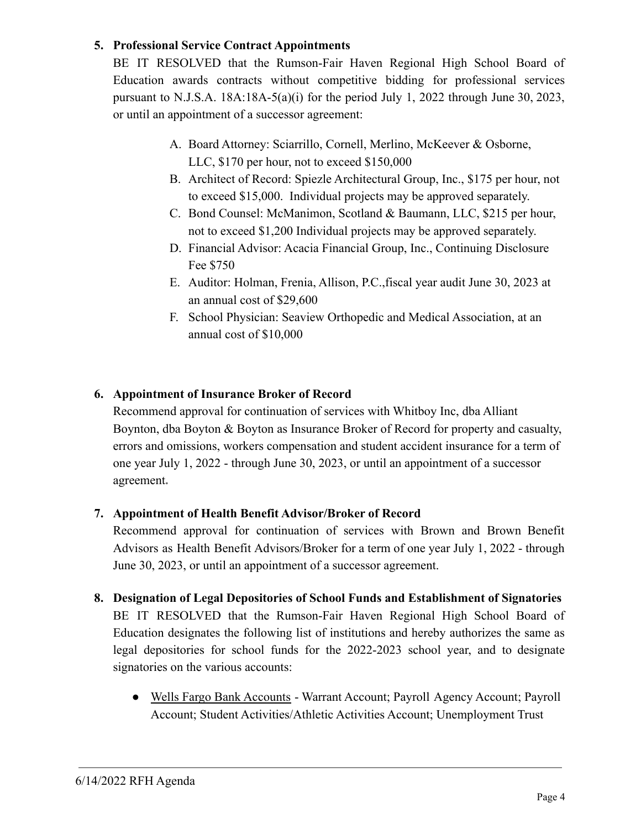## **5. Professional Service Contract Appointments**

BE IT RESOLVED that the Rumson-Fair Haven Regional High School Board of Education awards contracts without competitive bidding for professional services pursuant to N.J.S.A. 18A:18A-5(a)(i) for the period July 1, 2022 through June 30, 2023, or until an appointment of a successor agreement:

- A. Board Attorney: Sciarrillo, Cornell, Merlino, McKeever & Osborne, LLC, \$170 per hour, not to exceed \$150,000
- B. Architect of Record: Spiezle Architectural Group, Inc., \$175 per hour, not to exceed \$15,000. Individual projects may be approved separately.
- C. Bond Counsel: McManimon, Scotland & Baumann, LLC, \$215 per hour, not to exceed \$1,200 Individual projects may be approved separately.
- D. Financial Advisor: Acacia Financial Group, Inc., Continuing Disclosure Fee \$750
- E. Auditor: Holman, Frenia, Allison, P.C.,fiscal year audit June 30, 2023 at an annual cost of \$29,600
- F. School Physician: Seaview Orthopedic and Medical Association, at an annual cost of \$10,000

## **6. Appointment of Insurance Broker of Record**

Recommend approval for continuation of services with Whitboy Inc, dba Alliant Boynton, dba Boyton & Boyton as Insurance Broker of Record for property and casualty, errors and omissions, workers compensation and student accident insurance for a term of one year July 1, 2022 - through June 30, 2023, or until an appointment of a successor agreement**.**

## **7. Appointment of Health Benefit Advisor/Broker of Record**

Recommend approval for continuation of services with Brown and Brown Benefit Advisors as Health Benefit Advisors/Broker for a term of one year July 1, 2022 - through June 30, 2023, or until an appointment of a successor agreement.

- **8. Designation of Legal Depositories of School Funds and Establishment of Signatories** BE IT RESOLVED that the Rumson-Fair Haven Regional High School Board of Education designates the following list of institutions and hereby authorizes the same as legal depositories for school funds for the 2022-2023 school year, and to designate signatories on the various accounts:
	- Wells Fargo Bank Accounts Warrant Account; Payroll Agency Account; Payroll Account; Student Activities/Athletic Activities Account; Unemployment Trust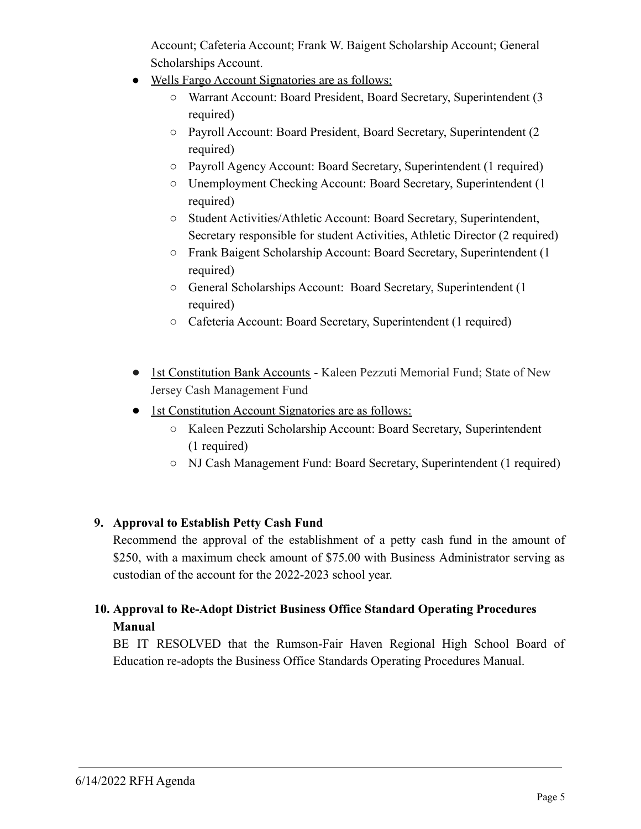Account; Cafeteria Account; Frank W. Baigent Scholarship Account; General Scholarships Account.

- Wells Fargo Account Signatories are as follows:
	- Warrant Account: Board President, Board Secretary, Superintendent (3 required)
	- Payroll Account: Board President, Board Secretary, Superintendent (2 required)
	- Payroll Agency Account: Board Secretary, Superintendent (1 required)
	- Unemployment Checking Account: Board Secretary, Superintendent (1 required)
	- Student Activities/Athletic Account: Board Secretary, Superintendent, Secretary responsible for student Activities, Athletic Director (2 required)
	- Frank Baigent Scholarship Account: Board Secretary, Superintendent (1 required)
	- General Scholarships Account: Board Secretary, Superintendent (1 required)
	- Cafeteria Account: Board Secretary, Superintendent (1 required)
- 1st Constitution Bank Accounts Kaleen Pezzuti Memorial Fund; State of New Jersey Cash Management Fund
- 1st Constitution Account Signatories are as follows:
	- Kaleen Pezzuti Scholarship Account: Board Secretary, Superintendent (1 required)
	- NJ Cash Management Fund: Board Secretary, Superintendent (1 required)

## **9. Approval to Establish Petty Cash Fund**

Recommend the approval of the establishment of a petty cash fund in the amount of \$250, with a maximum check amount of \$75.00 with Business Administrator serving as custodian of the account for the 2022-2023 school year.

# **10. Approval to Re-Adopt District Business Office Standard Operating Procedures Manual**

BE IT RESOLVED that the Rumson-Fair Haven Regional High School Board of Education re-adopts the Business Office Standards Operating Procedures Manual.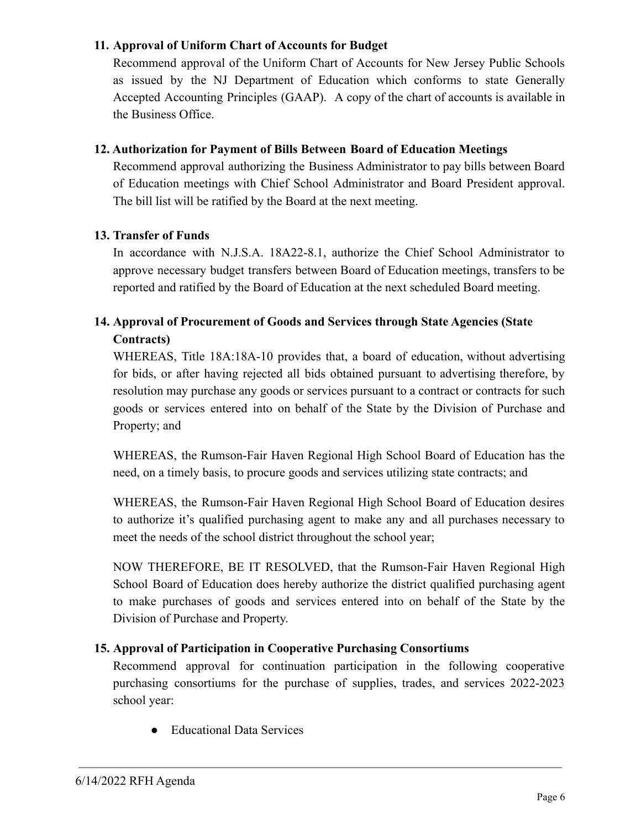#### **11. Approval of Uniform Chart of Accounts for Budget**

Recommend approval of the Uniform Chart of Accounts for New Jersey Public Schools as issued by the NJ Department of Education which conforms to state Generally Accepted Accounting Principles (GAAP). A copy of the chart of accounts is available in the Business Office.

#### **12. Authorization for Payment of Bills Between Board of Education Meetings**

Recommend approval authorizing the Business Administrator to pay bills between Board of Education meetings with Chief School Administrator and Board President approval. The bill list will be ratified by the Board at the next meeting.

#### **13. Transfer of Funds**

In accordance with N.J.S.A. 18A22-8.1, authorize the Chief School Administrator to approve necessary budget transfers between Board of Education meetings, transfers to be reported and ratified by the Board of Education at the next scheduled Board meeting.

## **14. Approval of Procurement of Goods and Services through State Agencies (State Contracts)**

WHEREAS, Title 18A:18A-10 provides that, a board of education, without advertising for bids, or after having rejected all bids obtained pursuant to advertising therefore, by resolution may purchase any goods or services pursuant to a contract or contracts for such goods or services entered into on behalf of the State by the Division of Purchase and Property; and

WHEREAS, the Rumson-Fair Haven Regional High School Board of Education has the need, on a timely basis, to procure goods and services utilizing state contracts; and

WHEREAS, the Rumson-Fair Haven Regional High School Board of Education desires to authorize it's qualified purchasing agent to make any and all purchases necessary to meet the needs of the school district throughout the school year;

NOW THEREFORE, BE IT RESOLVED, that the Rumson-Fair Haven Regional High School Board of Education does hereby authorize the district qualified purchasing agent to make purchases of goods and services entered into on behalf of the State by the Division of Purchase and Property.

#### **15. Approval of Participation in Cooperative Purchasing Consortiums**

Recommend approval for continuation participation in the following cooperative purchasing consortiums for the purchase of supplies, trades, and services 2022-2023 school year:

● Educational Data Services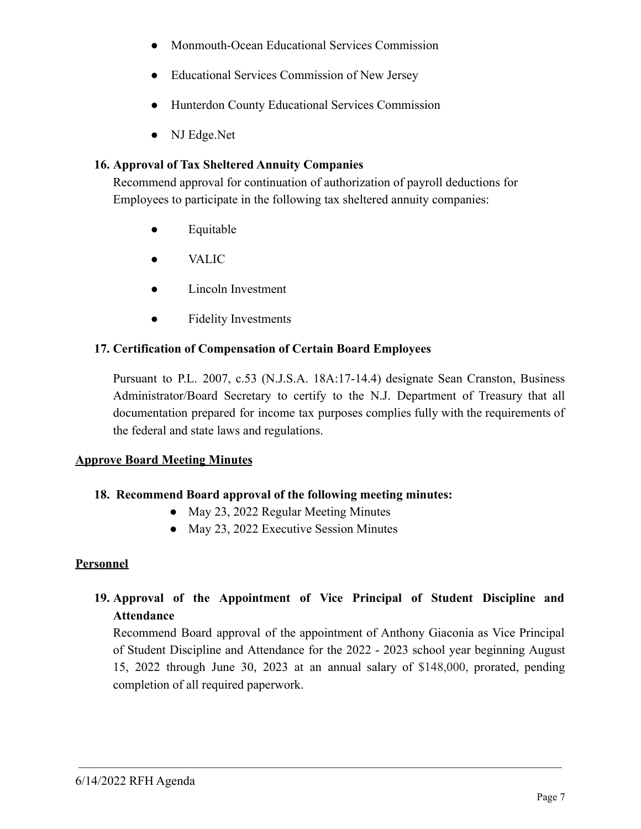- Monmouth-Ocean Educational Services Commission
- Educational Services Commission of New Jersey
- Hunterdon County Educational Services Commission
- NJ Edge.Net

#### **16. Approval of Tax Sheltered Annuity Companies**

Recommend approval for continuation of authorization of payroll deductions for Employees to participate in the following tax sheltered annuity companies:

- Equitable
- VALIC
- Lincoln Investment
- Fidelity Investments

#### **17. Certification of Compensation of Certain Board Employees**

Pursuant to P.L. 2007, c.53 (N.J.S.A. 18A:17-14.4) designate Sean Cranston, Business Administrator/Board Secretary to certify to the N.J. Department of Treasury that all documentation prepared for income tax purposes complies fully with the requirements of the federal and state laws and regulations.

#### **Approve Board Meeting Minutes**

#### **18. Recommend Board approval of the following meeting minutes:**

- May 23, 2022 Regular Meeting Minutes
- May 23, 2022 Executive Session Minutes

## **Personnel**

## **19. Approval of the Appointment of Vice Principal of Student Discipline and Attendance**

Recommend Board approval of the appointment of Anthony Giaconia as Vice Principal of Student Discipline and Attendance for the 2022 - 2023 school year beginning August 15, 2022 through June 30, 2023 at an annual salary of \$148,000, prorated, pending completion of all required paperwork.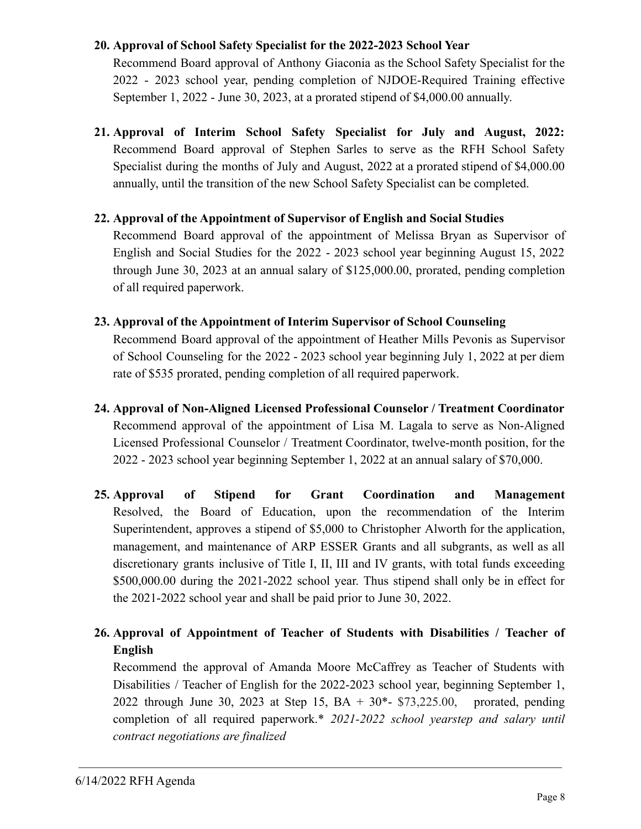#### **20. Approval of School Safety Specialist for the 2022-2023 School Year**

Recommend Board approval of Anthony Giaconia as the School Safety Specialist for the 2022 - 2023 school year, pending completion of NJDOE-Required Training effective September 1, 2022 - June 30, 2023, at a prorated stipend of \$4,000.00 annually.

**21. Approval of Interim School Safety Specialist for July and August, 2022:** Recommend Board approval of Stephen Sarles to serve as the RFH School Safety Specialist during the months of July and August, 2022 at a prorated stipend of \$4,000.00 annually, until the transition of the new School Safety Specialist can be completed.

#### **22. Approval of the Appointment of Supervisor of English and Social Studies**

Recommend Board approval of the appointment of Melissa Bryan as Supervisor of English and Social Studies for the 2022 - 2023 school year beginning August 15, 2022 through June 30, 2023 at an annual salary of \$125,000.00, prorated, pending completion of all required paperwork.

#### **23. Approval of the Appointment of Interim Supervisor of School Counseling**

Recommend Board approval of the appointment of Heather Mills Pevonis as Supervisor of School Counseling for the 2022 - 2023 school year beginning July 1, 2022 at per diem rate of \$535 prorated, pending completion of all required paperwork.

- **24. Approval of Non-Aligned Licensed Professional Counselor / Treatment Coordinator** Recommend approval of the appointment of Lisa M. Lagala to serve as Non-Aligned Licensed Professional Counselor / Treatment Coordinator, twelve-month position, for the 2022 - 2023 school year beginning September 1, 2022 at an annual salary of \$70,000.
- **25. Approval of Stipend for Grant Coordination and Management** Resolved, the Board of Education, upon the recommendation of the Interim Superintendent, approves a stipend of \$5,000 to Christopher Alworth for the application, management, and maintenance of ARP ESSER Grants and all subgrants, as well as all discretionary grants inclusive of Title I, II, III and IV grants, with total funds exceeding \$500,000.00 during the 2021-2022 school year. Thus stipend shall only be in effect for the 2021-2022 school year and shall be paid prior to June 30, 2022.

# **26. Approval of Appointment of Teacher of Students with Disabilities / Teacher of English**

Recommend the approval of Amanda Moore McCaffrey as Teacher of Students with Disabilities / Teacher of English for the 2022-2023 school year, beginning September 1, 2022 through June 30, 2023 at Step 15, BA + 30\*- \$73,225.00, prorated, pending completion of all required paperwork.\* *2021-2022 school yearstep and salary until contract negotiations are finalized*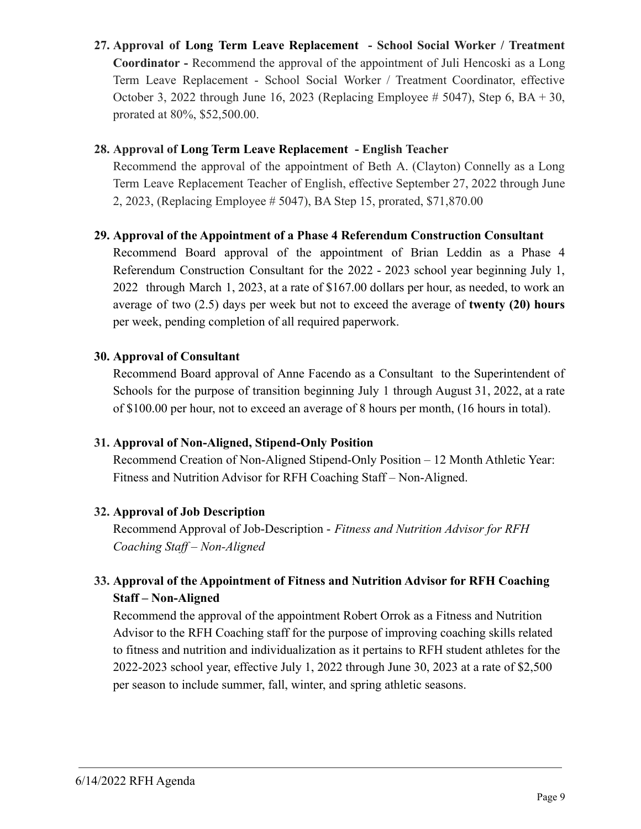**27. Approval of Long Term Leave Replacement - School Social Worker / Treatment Coordinator -** Recommend the approval of the appointment of Juli Hencoski as a Long Term Leave Replacement - School Social Worker / Treatment Coordinator, effective October 3, 2022 through June 16, 2023 (Replacing Employee  $\# 5047$ ), Step 6, BA + 30, prorated at 80%, \$52,500.00.

#### **28. Approval of Long Term Leave Replacement - English Teacher**

Recommend the approval of the appointment of Beth A. (Clayton) Connelly as a Long Term Leave Replacement Teacher of English, effective September 27, 2022 through June 2, 2023, (Replacing Employee # 5047), BA Step 15, prorated, \$71,870.00

## **29. Approval of the Appointment of a Phase 4 Referendum Construction Consultant**

Recommend Board approval of the appointment of Brian Leddin as a Phase 4 Referendum Construction Consultant for the 2022 - 2023 school year beginning July 1, 2022 through March 1, 2023, at a rate of \$167.00 dollars per hour, as needed, to work an average of two (2.5) days per week but not to exceed the average of **twenty (20) hours** per week, pending completion of all required paperwork.

## **30. Approval of Consultant**

Recommend Board approval of Anne Facendo as a Consultant to the Superintendent of Schools for the purpose of transition beginning July 1 through August 31, 2022, at a rate of \$100.00 per hour, not to exceed an average of 8 hours per month, (16 hours in total).

## **31. Approval of Non-Aligned, Stipend-Only Position**

Recommend Creation of Non-Aligned Stipend-Only Position – 12 Month Athletic Year: Fitness and Nutrition Advisor for RFH Coaching Staff – Non-Aligned.

## **32. Approval of Job Description**

Recommend Approval of Job-Description - *Fitness and Nutrition Advisor for RFH Coaching Staff – Non-Aligned*

## **33. Approval of the Appointment of Fitness and Nutrition Advisor for RFH Coaching Staff – Non-Aligned**

Recommend the approval of the appointment Robert Orrok as a Fitness and Nutrition Advisor to the RFH Coaching staff for the purpose of improving coaching skills related to fitness and nutrition and individualization as it pertains to RFH student athletes for the 2022-2023 school year, effective July 1, 2022 through June 30, 2023 at a rate of \$2,500 per season to include summer, fall, winter, and spring athletic seasons.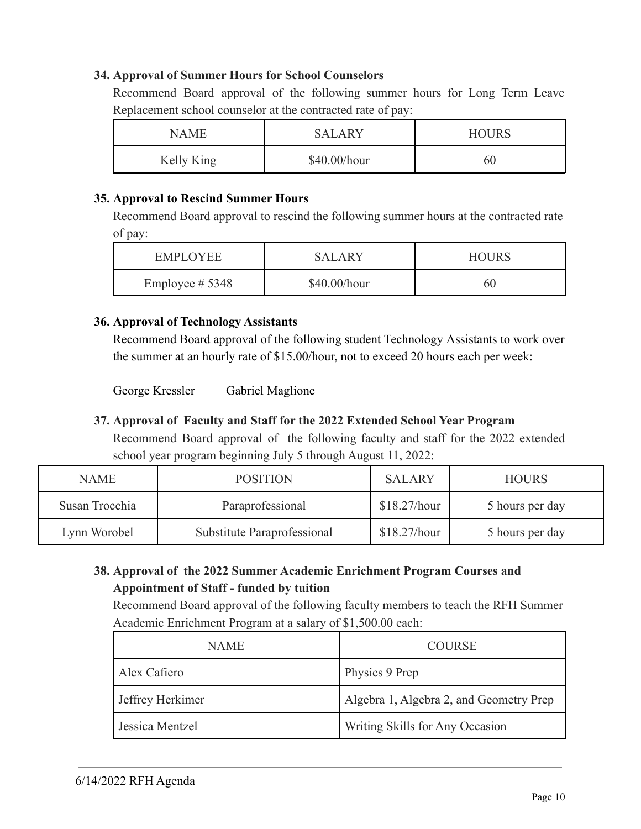#### **34. Approval of Summer Hours for School Counselors**

Recommend Board approval of the following summer hours for Long Term Leave Replacement school counselor at the contracted rate of pay:

| NAME       | <b>SALARY</b> | <b>HOURS</b> |
|------------|---------------|--------------|
| Kelly King | \$40.00/hour  | 60           |

#### **35. Approval to Rescind Summer Hours**

Recommend Board approval to rescind the following summer hours at the contracted rate of pay:

| EMPLOYEE           | SALARY         | <b>HOURS</b> |
|--------------------|----------------|--------------|
| Employee $\# 5348$ | $$40.00/h$ our | 60           |

#### **36. Approval of Technology Assistants**

Recommend Board approval of the following student Technology Assistants to work over the summer at an hourly rate of \$15.00/hour, not to exceed 20 hours each per week:

George Kressler Gabriel Maglione

## **37. Approval of Faculty and Staff for the 2022 Extended School Year Program**

Recommend Board approval of the following faculty and staff for the 2022 extended school year program beginning July 5 through August 11, 2022:

| <b>NAME</b>    | <b>POSITION</b>             | <b>SALARY</b> | <b>HOURS</b>    |
|----------------|-----------------------------|---------------|-----------------|
| Susan Trocchia | Paraprofessional            | \$18.27/hour  | 5 hours per day |
| Lynn Worobel   | Substitute Paraprofessional | \$18.27/hour  | 5 hours per day |

## **38. Approval of the 2022 Summer Academic Enrichment Program Courses and Appointment of Staff - funded by tuition**

Recommend Board approval of the following faculty members to teach the RFH Summer Academic Enrichment Program at a salary of \$1,500.00 each:

| <b>NAME</b>      | <b>COURSE</b>                           |
|------------------|-----------------------------------------|
| Alex Cafiero     | Physics 9 Prep                          |
| Jeffrey Herkimer | Algebra 1, Algebra 2, and Geometry Prep |
| Jessica Mentzel  | Writing Skills for Any Occasion         |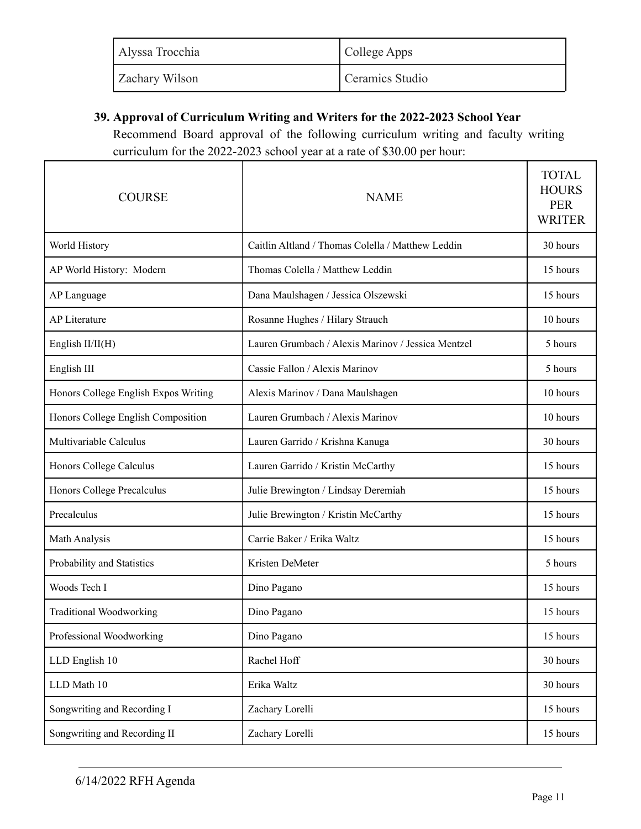| Alyssa Trocchia       | College Apps    |
|-----------------------|-----------------|
| <b>Zachary Wilson</b> | Ceramics Studio |

## **39. Approval of Curriculum Writing and Writers for the 2022-2023 School Year**

Recommend Board approval of the following curriculum writing and faculty writing curriculum for the 2022-2023 school year at a rate of \$30.00 per hour:

| <b>COURSE</b>                        | <b>NAME</b>                                        | <b>TOTAL</b><br><b>HOURS</b><br><b>PER</b><br><b>WRITER</b> |
|--------------------------------------|----------------------------------------------------|-------------------------------------------------------------|
| World History                        | Caitlin Altland / Thomas Colella / Matthew Leddin  | 30 hours                                                    |
| AP World History: Modern             | Thomas Colella / Matthew Leddin                    | 15 hours                                                    |
| AP Language                          | Dana Maulshagen / Jessica Olszewski                | 15 hours                                                    |
| <b>AP Literature</b>                 | Rosanne Hughes / Hilary Strauch                    | 10 hours                                                    |
| English $II/II(H)$                   | Lauren Grumbach / Alexis Marinov / Jessica Mentzel | 5 hours                                                     |
| English III                          | Cassie Fallon / Alexis Marinov                     | 5 hours                                                     |
| Honors College English Expos Writing | Alexis Marinov / Dana Maulshagen                   | 10 hours                                                    |
| Honors College English Composition   | Lauren Grumbach / Alexis Marinov                   | 10 hours                                                    |
| Multivariable Calculus               | Lauren Garrido / Krishna Kanuga                    | 30 hours                                                    |
| Honors College Calculus              | Lauren Garrido / Kristin McCarthy                  | 15 hours                                                    |
| Honors College Precalculus           | Julie Brewington / Lindsay Deremiah                | 15 hours                                                    |
| Precalculus                          | Julie Brewington / Kristin McCarthy                | 15 hours                                                    |
| Math Analysis                        | Carrie Baker / Erika Waltz                         | 15 hours                                                    |
| Probability and Statistics           | Kristen DeMeter                                    | 5 hours                                                     |
| Woods Tech I                         | Dino Pagano                                        | 15 hours                                                    |
| <b>Traditional Woodworking</b>       | Dino Pagano                                        | 15 hours                                                    |
| Professional Woodworking             | Dino Pagano                                        | 15 hours                                                    |
| LLD English 10                       | Rachel Hoff                                        | 30 hours                                                    |
| LLD Math 10                          | Erika Waltz                                        | 30 hours                                                    |
| Songwriting and Recording I          | Zachary Lorelli                                    | 15 hours                                                    |
| Songwriting and Recording II         | Zachary Lorelli                                    | 15 hours                                                    |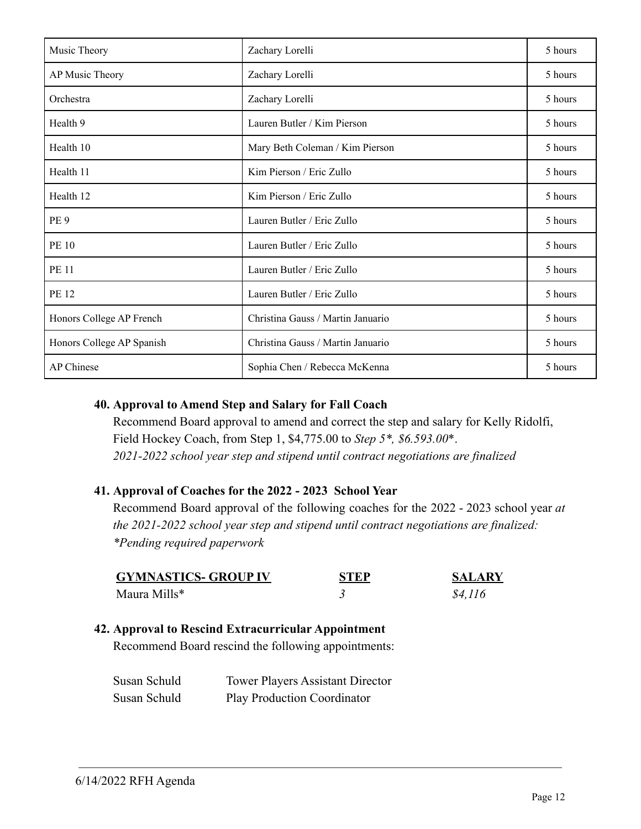| Music Theory              | Zachary Lorelli                   | 5 hours |
|---------------------------|-----------------------------------|---------|
| AP Music Theory           | Zachary Lorelli                   | 5 hours |
| Orchestra                 | Zachary Lorelli                   | 5 hours |
| Health 9                  | Lauren Butler / Kim Pierson       | 5 hours |
| Health 10                 | Mary Beth Coleman / Kim Pierson   | 5 hours |
| Health 11                 | Kim Pierson / Eric Zullo          | 5 hours |
| Health 12                 | Kim Pierson / Eric Zullo          | 5 hours |
| PE <sub>9</sub>           | Lauren Butler / Eric Zullo        | 5 hours |
| <b>PE 10</b>              | Lauren Butler / Eric Zullo        | 5 hours |
| <b>PE 11</b>              | Lauren Butler / Eric Zullo        | 5 hours |
| <b>PE 12</b>              | Lauren Butler / Eric Zullo        | 5 hours |
| Honors College AP French  | Christina Gauss / Martin Januario | 5 hours |
| Honors College AP Spanish | Christina Gauss / Martin Januario | 5 hours |
| AP Chinese                | Sophia Chen / Rebecca McKenna     | 5 hours |

#### **40. Approval to Amend Step and Salary for Fall Coach**

Recommend Board approval to amend and correct the step and salary for Kelly Ridolfi, Field Hockey Coach, from Step 1, \$4,775.00 to *Step 5\*, \$6.593.00*\*. *2021-2022 school year step and stipend until contract negotiations are finalized*

## **41. Approval of Coaches for the 2022 - 2023 School Year**

Recommend Board approval of the following coaches for the 2022 - 2023 school year *at the 2021-2022 school year step and stipend until contract negotiations are finalized: \*Pending required paperwork*

| <b>GYMNASTICS- GROUP IV</b> | <b>STEP</b> | <b>SALARY</b> |
|-----------------------------|-------------|---------------|
| Maura Mills*                |             | \$4,116       |

#### **42. Approval to Rescind Extracurricular Appointment**

Recommend Board rescind the following appointments:

| Susan Schuld | <b>Tower Players Assistant Director</b> |
|--------------|-----------------------------------------|
| Susan Schuld | <b>Play Production Coordinator</b>      |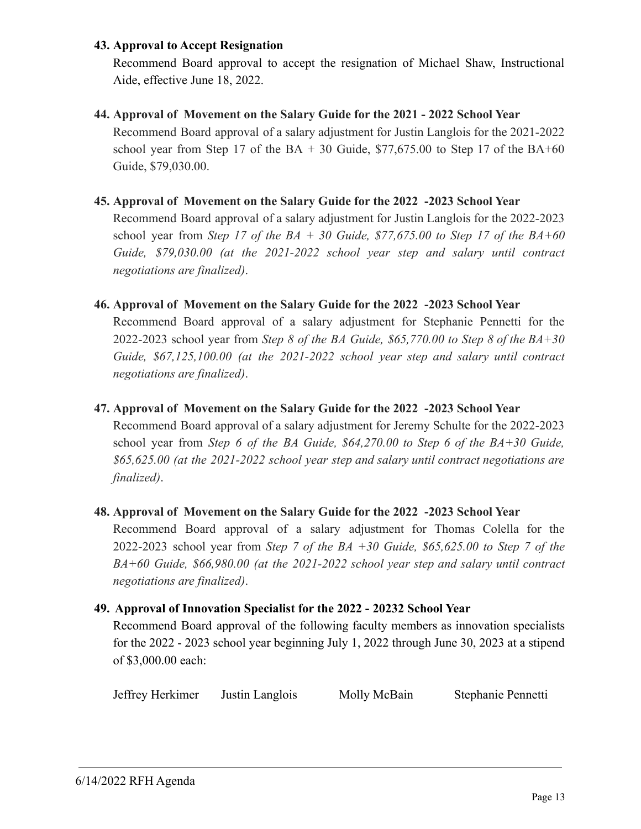#### **43. Approval to Accept Resignation**

Recommend Board approval to accept the resignation of Michael Shaw, Instructional Aide, effective June 18, 2022.

#### **44. Approval of Movement on the Salary Guide for the 2021 - 2022 School Year**

Recommend Board approval of a salary adjustment for Justin Langlois for the 2021-2022 school year from Step 17 of the BA  $+$  30 Guide, \$77,675.00 to Step 17 of the BA $+60$ Guide, \$79,030.00.

#### **45. Approval of Movement on the Salary Guide for the 2022 -2023 School Year**

Recommend Board approval of a salary adjustment for Justin Langlois for the 2022-2023 school year from *Step 17 of the BA + 30 Guide, \$77,675.00 to Step 17 of the BA+60 Guide, \$79,030.00 (at the 2021-2022 school year step and salary until contract negotiations are finalized)*.

#### **46. Approval of Movement on the Salary Guide for the 2022 -2023 School Year**

Recommend Board approval of a salary adjustment for Stephanie Pennetti for the 2022-2023 school year from *Step 8 of the BA Guide, \$65,770.00 to Step 8 of the BA+30 Guide, \$67,125,100.00 (at the 2021-2022 school year step and salary until contract negotiations are finalized)*.

#### **47. Approval of Movement on the Salary Guide for the 2022 -2023 School Year**

Recommend Board approval of a salary adjustment for Jeremy Schulte for the 2022-2023 school year from *Step 6 of the BA Guide, \$64,270.00 to Step 6 of the BA+30 Guide, \$65,625.00 (at the 2021-2022 school year step and salary until contract negotiations are finalized)*.

#### **48. Approval of Movement on the Salary Guide for the 2022 -2023 School Year**

Recommend Board approval of a salary adjustment for Thomas Colella for the 2022-2023 school year from *Step 7 of the BA +30 Guide, \$65,625.00 to Step 7 of the BA+60 Guide, \$66,980.00 (at the 2021-2022 school year step and salary until contract negotiations are finalized)*.

#### **49. Approval of Innovation Specialist for the 2022 - 20232 School Year**

Recommend Board approval of the following faculty members as innovation specialists for the 2022 - 2023 school year beginning July 1, 2022 through June 30, 2023 at a stipend of \$3,000.00 each:

Jeffrey Herkimer Justin Langlois Molly McBain Stephanie Pennetti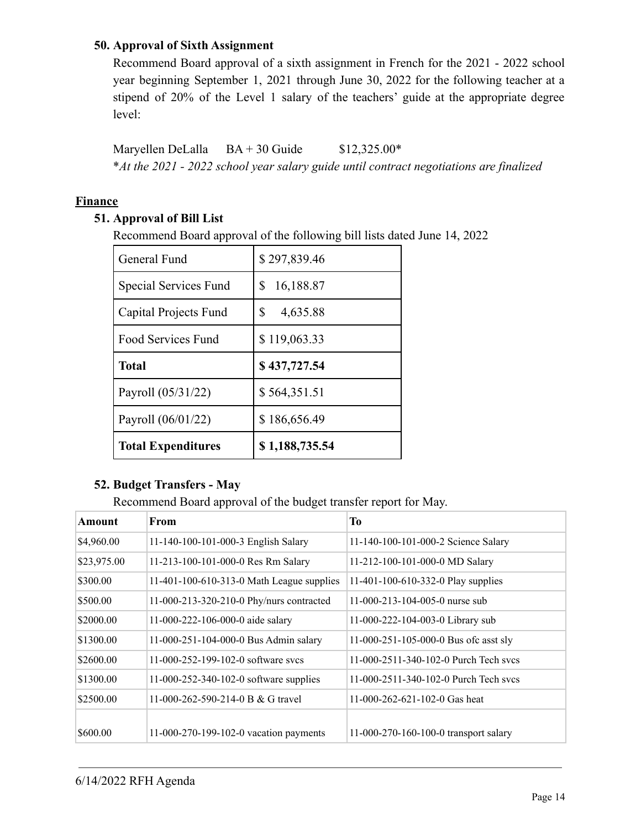#### **50. Approval of Sixth Assignment**

Recommend Board approval of a sixth assignment in French for the 2021 - 2022 school year beginning September 1, 2021 through June 30, 2022 for the following teacher at a stipend of 20% of the Level 1 salary of the teachers' guide at the appropriate degree level:

Maryellen DeLalla  $BA + 30$  Guide  $$12,325.00*$ \**At the 2021 - 2022 school year salary guide until contract negotiations are finalized*

#### **Finance**

## **51. Approval of Bill List**

Recommend Board approval of the following bill lists dated June 14, 2022

| General Fund              | \$297,839.46   |
|---------------------------|----------------|
| Special Services Fund     | S<br>16,188.87 |
| Capital Projects Fund     | \$<br>4,635.88 |
| <b>Food Services Fund</b> | \$119,063.33   |
| <b>Total</b>              | \$437,727.54   |
|                           |                |
| Payroll (05/31/22)        | \$564,351.51   |
| Payroll (06/01/22)        | \$186,656.49   |

#### **52. Budget Transfers - May**

Recommend Board approval of the budget transfer report for May.

| Amount      | From                                      | To                                    |
|-------------|-------------------------------------------|---------------------------------------|
| \$4,960.00  | 11-140-100-101-000-3 English Salary       | 11-140-100-101-000-2 Science Salary   |
| \$23,975.00 | 11-213-100-101-000-0 Res Rm Salary        | 11-212-100-101-000-0 MD Salary        |
| \$300.00    | 11-401-100-610-313-0 Math League supplies | 11-401-100-610-332-0 Play supplies    |
| \$500.00    | 11-000-213-320-210-0 Phy/nurs contracted  | 11-000-213-104-005-0 nurse sub        |
| \$2000.00   | 11-000-222-106-000-0 aide salary          | 11-000-222-104-003-0 Library sub      |
| \$1300.00   | 11-000-251-104-000-0 Bus Admin salary     | 11-000-251-105-000-0 Bus of casst sly |
| \$2600.00   | 11-000-252-199-102-0 software sycs        | 11-000-2511-340-102-0 Purch Tech sycs |
| \$1300.00   | 11-000-252-340-102-0 software supplies    | 11-000-2511-340-102-0 Purch Tech sycs |
| \$2500.00   | 11-000-262-590-214-0 B & G travel         | 11-000-262-621-102-0 Gas heat         |
| \$600.00    | 11-000-270-199-102-0 vacation payments    | 11-000-270-160-100-0 transport salary |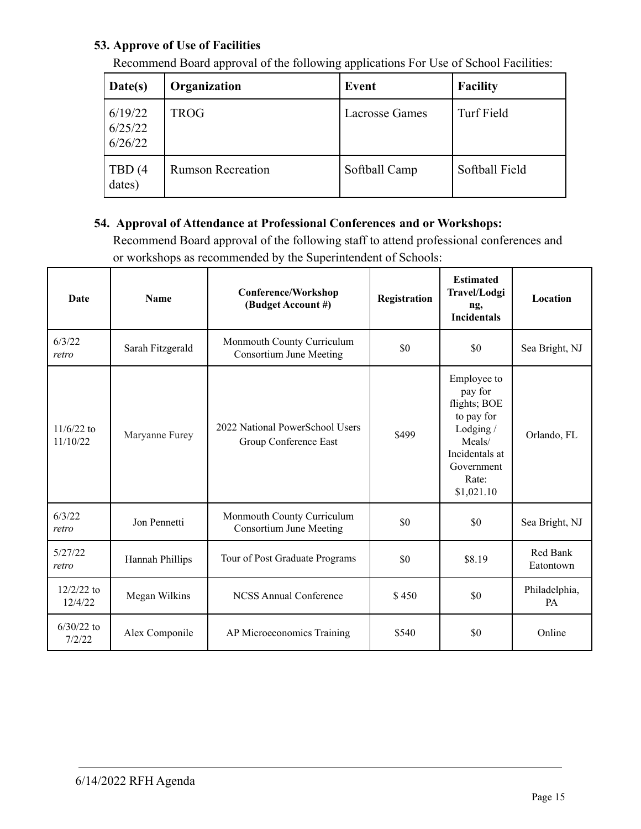## **53. Approve of Use of Facilities**

| Date(s)                       | Organization             | <b>Event</b>          | <b>Facility</b> |
|-------------------------------|--------------------------|-----------------------|-----------------|
| 6/19/22<br>6/25/22<br>6/26/22 | <b>TROG</b>              | <b>Lacrosse Games</b> | Turf Field      |
| TBD (4<br>dates)              | <b>Rumson Recreation</b> | Softball Camp         | Softball Field  |

Recommend Board approval of the following applications For Use of School Facilities:

## **54. Approval of Attendance at Professional Conferences and or Workshops:**

Recommend Board approval of the following staff to attend professional conferences and or workshops as recommended by the Superintendent of Schools:

| Date                     | <b>Name</b>      | <b>Conference/Workshop</b><br>(Budget Account #)             | Registration | <b>Estimated</b><br>Travel/Lodgi<br>ng,<br><b>Incidentals</b>                                                                      | Location              |
|--------------------------|------------------|--------------------------------------------------------------|--------------|------------------------------------------------------------------------------------------------------------------------------------|-----------------------|
| 6/3/22<br>retro          | Sarah Fitzgerald | Monmouth County Curriculum<br><b>Consortium June Meeting</b> | \$0          | \$0                                                                                                                                | Sea Bright, NJ        |
| $11/6/22$ to<br>11/10/22 | Maryanne Furey   | 2022 National PowerSchool Users<br>Group Conference East     | \$499        | Employee to<br>pay for<br>flights; BOE<br>to pay for<br>Lodging /<br>Meals/<br>Incidentals at<br>Government<br>Rate:<br>\$1,021.10 | Orlando, FL           |
| 6/3/22<br>retro          | Jon Pennetti     | Monmouth County Curriculum<br><b>Consortium June Meeting</b> | \$0          | \$0                                                                                                                                | Sea Bright, NJ        |
| 5/27/22<br>retro         | Hannah Phillips  | Tour of Post Graduate Programs                               | \$0          | \$8.19                                                                                                                             | Red Bank<br>Eatontown |
| $12/2/22$ to<br>12/4/22  | Megan Wilkins    | <b>NCSS Annual Conference</b>                                | \$450        | \$0                                                                                                                                | Philadelphia,<br>PA   |
| $6/30/22$ to<br>7/2/22   | Alex Componile   | AP Microeconomics Training                                   | \$540        | \$0                                                                                                                                | Online                |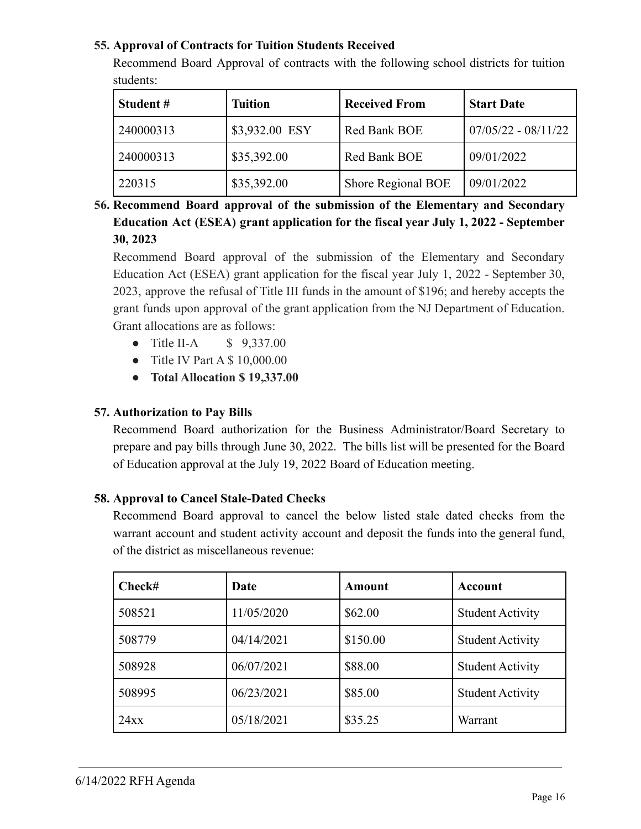## **55. Approval of Contracts for Tuition Students Received**

Recommend Board Approval of contracts with the following school districts for tuition students:

| Student#  | <b>Tuition</b> | <b>Received From</b> | <b>Start Date</b>     |
|-----------|----------------|----------------------|-----------------------|
| 240000313 | \$3,932.00 ESY | Red Bank BOE         | $07/05/22 - 08/11/22$ |
| 240000313 | \$35,392.00    | Red Bank BOE         | 09/01/2022            |
| 220315    | \$35,392.00    | Shore Regional BOE   | 09/01/2022            |

**56. Recommend Board approval of the submission of the Elementary and Secondary Education Act (ESEA) grant application for the fiscal year July 1, 2022 - September 30, 2023**

Recommend Board approval of the submission of the Elementary and Secondary Education Act (ESEA) grant application for the fiscal year July 1, 2022 - September 30, 2023, approve the refusal of Title III funds in the amount of \$196; and hereby accepts the grant funds upon approval of the grant application from the NJ Department of Education. Grant allocations are as follows:

- Title II-A \$ 9,337.00
- Title IV Part A \$ 10,000.00
- **Total Allocation \$ 19,337.00**

## **57. Authorization to Pay Bills**

Recommend Board authorization for the Business Administrator/Board Secretary to prepare and pay bills through June 30, 2022. The bills list will be presented for the Board of Education approval at the July 19, 2022 Board of Education meeting.

#### **58. Approval to Cancel Stale-Dated Checks**

Recommend Board approval to cancel the below listed stale dated checks from the warrant account and student activity account and deposit the funds into the general fund, of the district as miscellaneous revenue:

| Check# | Date       | Amount   | Account                 |
|--------|------------|----------|-------------------------|
| 508521 | 11/05/2020 | \$62.00  | <b>Student Activity</b> |
| 508779 | 04/14/2021 | \$150.00 | <b>Student Activity</b> |
| 508928 | 06/07/2021 | \$88.00  | <b>Student Activity</b> |
| 508995 | 06/23/2021 | \$85.00  | <b>Student Activity</b> |
| 24xx   | 05/18/2021 | \$35.25  | Warrant                 |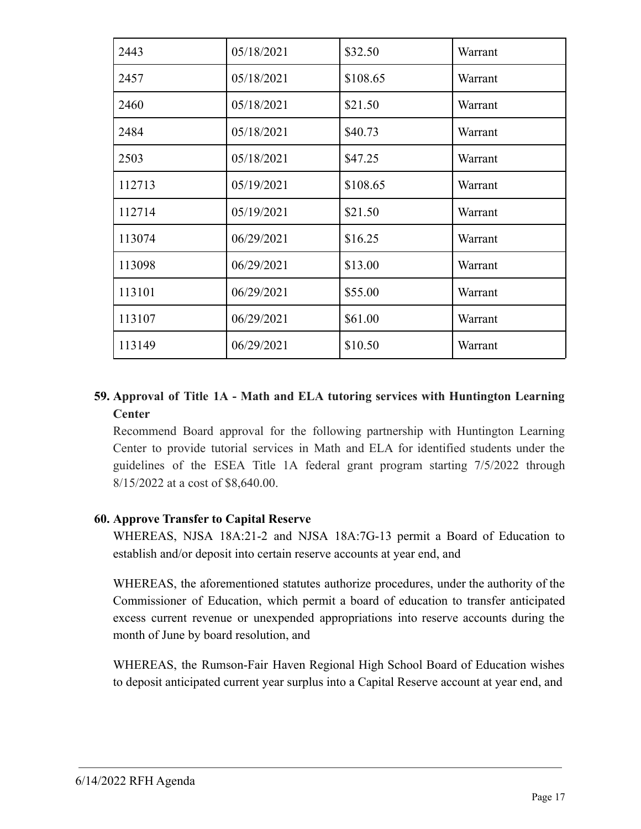| 2443   | 05/18/2021 | \$32.50  | Warrant |
|--------|------------|----------|---------|
| 2457   | 05/18/2021 | \$108.65 | Warrant |
| 2460   | 05/18/2021 | \$21.50  | Warrant |
| 2484   | 05/18/2021 | \$40.73  | Warrant |
| 2503   | 05/18/2021 | \$47.25  | Warrant |
| 112713 | 05/19/2021 | \$108.65 | Warrant |
| 112714 | 05/19/2021 | \$21.50  | Warrant |
| 113074 | 06/29/2021 | \$16.25  | Warrant |
| 113098 | 06/29/2021 | \$13.00  | Warrant |
| 113101 | 06/29/2021 | \$55.00  | Warrant |
| 113107 | 06/29/2021 | \$61.00  | Warrant |
| 113149 | 06/29/2021 | \$10.50  | Warrant |

## **59. Approval of Title 1A - Math and ELA tutoring services with Huntington Learning Center**

Recommend Board approval for the following partnership with Huntington Learning Center to provide tutorial services in Math and ELA for identified students under the guidelines of the ESEA Title 1A federal grant program starting 7/5/2022 through 8/15/2022 at a cost of \$8,640.00.

## **60. Approve Transfer to Capital Reserve**

WHEREAS, NJSA 18A:21-2 and NJSA 18A:7G-13 permit a Board of Education to establish and/or deposit into certain reserve accounts at year end, and

WHEREAS, the aforementioned statutes authorize procedures, under the authority of the Commissioner of Education, which permit a board of education to transfer anticipated excess current revenue or unexpended appropriations into reserve accounts during the month of June by board resolution, and

WHEREAS, the Rumson-Fair Haven Regional High School Board of Education wishes to deposit anticipated current year surplus into a Capital Reserve account at year end, and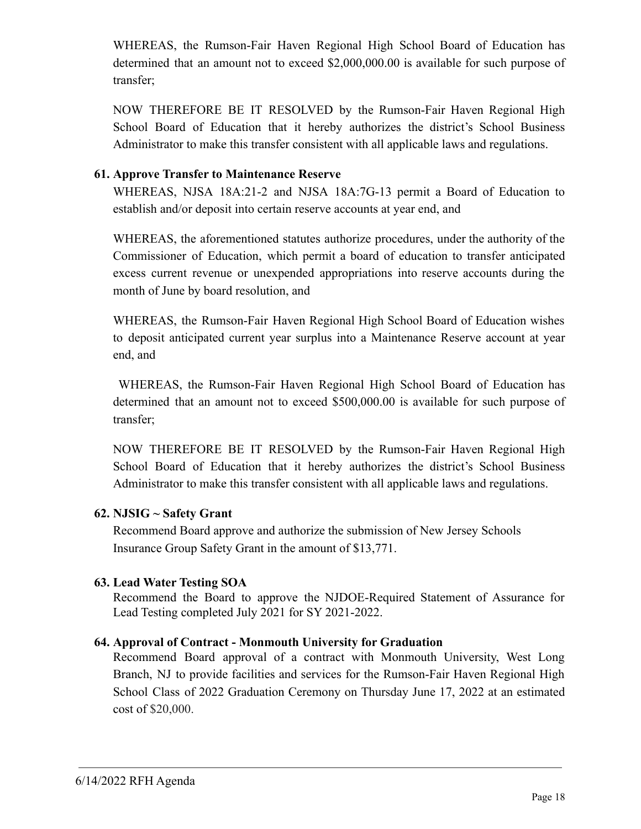WHEREAS, the Rumson-Fair Haven Regional High School Board of Education has determined that an amount not to exceed \$2,000,000.00 is available for such purpose of transfer;

NOW THEREFORE BE IT RESOLVED by the Rumson-Fair Haven Regional High School Board of Education that it hereby authorizes the district's School Business Administrator to make this transfer consistent with all applicable laws and regulations.

#### **61. Approve Transfer to Maintenance Reserve**

WHEREAS, NJSA 18A:21-2 and NJSA 18A:7G-13 permit a Board of Education to establish and/or deposit into certain reserve accounts at year end, and

WHEREAS, the aforementioned statutes authorize procedures, under the authority of the Commissioner of Education, which permit a board of education to transfer anticipated excess current revenue or unexpended appropriations into reserve accounts during the month of June by board resolution, and

WHEREAS, the Rumson-Fair Haven Regional High School Board of Education wishes to deposit anticipated current year surplus into a Maintenance Reserve account at year end, and

WHEREAS, the Rumson-Fair Haven Regional High School Board of Education has determined that an amount not to exceed \$500,000.00 is available for such purpose of transfer;

NOW THEREFORE BE IT RESOLVED by the Rumson-Fair Haven Regional High School Board of Education that it hereby authorizes the district's School Business Administrator to make this transfer consistent with all applicable laws and regulations.

## **62. NJSIG ~ Safety Grant**

Recommend Board approve and authorize the submission of New Jersey Schools Insurance Group Safety Grant in the amount of \$13,771.

## **63. Lead Water Testing SOA**

Recommend the Board to approve the NJDOE-Required Statement of Assurance for Lead Testing completed July 2021 for SY 2021-2022.

## **64. Approval of Contract - Monmouth University for Graduation**

Recommend Board approval of a contract with Monmouth University, West Long Branch, NJ to provide facilities and services for the Rumson-Fair Haven Regional High School Class of 2022 Graduation Ceremony on Thursday June 17, 2022 at an estimated cost of \$20,000.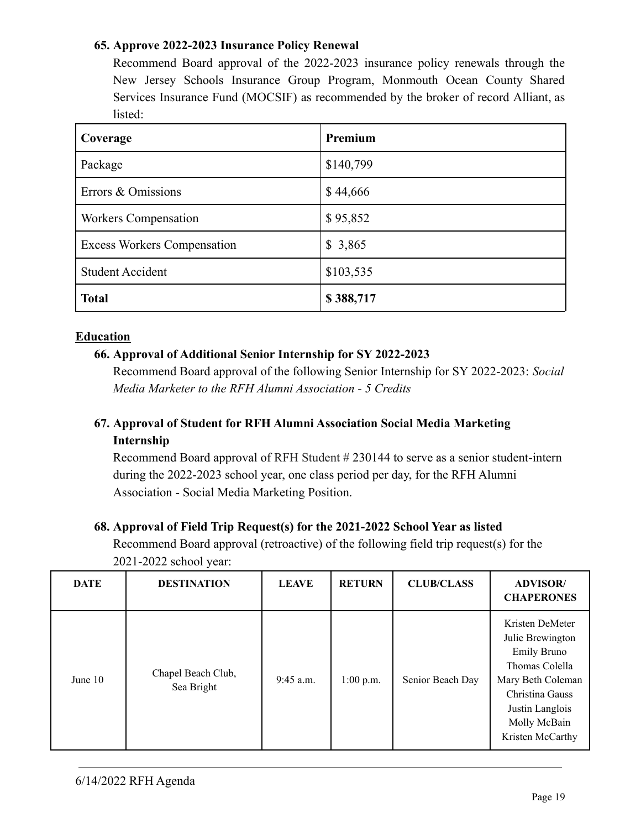#### **65. Approve 2022-2023 Insurance Policy Renewal**

Recommend Board approval of the 2022-2023 insurance policy renewals through the New Jersey Schools Insurance Group Program, Monmouth Ocean County Shared Services Insurance Fund (MOCSIF) as recommended by the broker of record Alliant, as listed:

| Coverage                           | Premium   |
|------------------------------------|-----------|
| Package                            | \$140,799 |
| Errors & Omissions                 | \$44,666  |
| <b>Workers Compensation</b>        | \$95,852  |
| <b>Excess Workers Compensation</b> | \$3,865   |
| <b>Student Accident</b>            | \$103,535 |
| <b>Total</b>                       | \$388,717 |

#### **Education**

## **66. Approval of Additional Senior Internship for SY 2022-2023**

Recommend Board approval of the following Senior Internship for SY 2022-2023: *Social Media Marketer to the RFH Alumni Association - 5 Credits*

## **67. Approval of Student for RFH Alumni Association Social Media Marketing Internship**

Recommend Board approval of RFH Student # 230144 to serve as a senior student-intern during the 2022-2023 school year, one class period per day, for the RFH Alumni Association - Social Media Marketing Position.

#### **68. Approval of Field Trip Request(s) for the 2021-2022 School Year as listed**

Recommend Board approval (retroactive) of the following field trip request(s) for the 2021-2022 school year:

| <b>DATE</b> | <b>DESTINATION</b>               | <b>LEAVE</b> | <b>RETURN</b> | <b>CLUB/CLASS</b> | <b>ADVISOR/</b><br><b>CHAPERONES</b>                                                                                                                                       |
|-------------|----------------------------------|--------------|---------------|-------------------|----------------------------------------------------------------------------------------------------------------------------------------------------------------------------|
| June $10$   | Chapel Beach Club,<br>Sea Bright | $9:45$ a.m.  | $1:00$ p.m.   | Senior Beach Day  | Kristen DeMeter<br>Julie Brewington<br><b>Emily Bruno</b><br>Thomas Colella<br>Mary Beth Coleman<br>Christina Gauss<br>Justin Langlois<br>Molly McBain<br>Kristen McCarthy |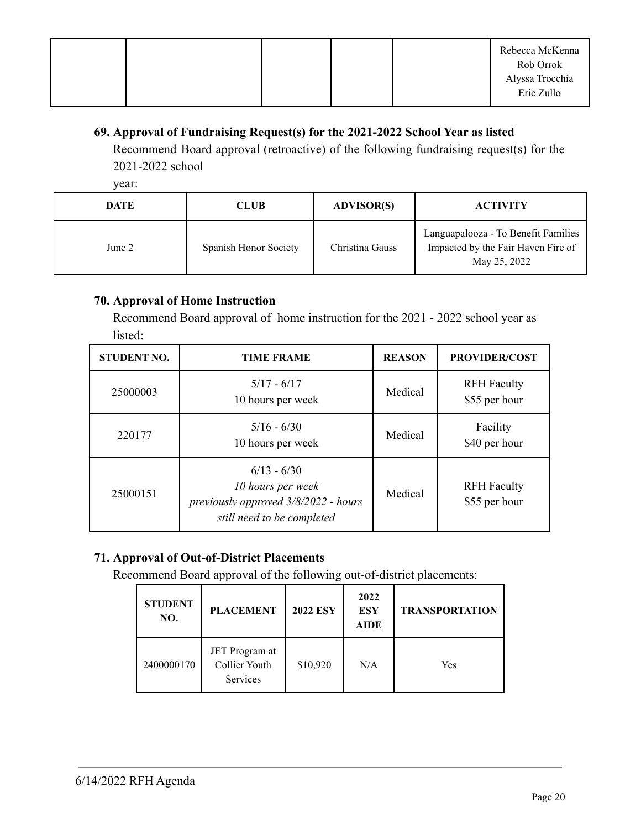|  |  | Rebecca McKenna |
|--|--|-----------------|
|  |  | Rob Orrok       |
|  |  | Alyssa Trocchia |
|  |  | Eric Zullo      |

## **69. Approval of Fundraising Request(s) for the 2021-2022 School Year as listed**

Recommend Board approval (retroactive) of the following fundraising request(s) for the 2021-2022 school

year:

| <b>DATE</b> | <b>CLUB</b>           | <b>ADVISOR(S)</b> | <b>ACTIVITY</b>                                                                           |
|-------------|-----------------------|-------------------|-------------------------------------------------------------------------------------------|
| June 2      | Spanish Honor Society | Christina Gauss   | Languapalooza - To Benefit Families<br>Impacted by the Fair Haven Fire of<br>May 25, 2022 |

## **70. Approval of Home Instruction**

Recommend Board approval of home instruction for the 2021 - 2022 school year as listed:

| <b>STUDENT NO.</b> | <b>TIME FRAME</b>                                                                                        | <b>REASON</b> | <b>PROVIDER/COST</b>                |
|--------------------|----------------------------------------------------------------------------------------------------------|---------------|-------------------------------------|
| 25000003           | $5/17 - 6/17$<br>10 hours per week                                                                       | Medical       | <b>RFH</b> Faculty<br>\$55 per hour |
| 220177             | $5/16 - 6/30$<br>10 hours per week                                                                       | Medical       | Facility<br>\$40 per hour           |
| 25000151           | $6/13 - 6/30$<br>10 hours per week<br>previously approved 3/8/2022 - hours<br>still need to be completed | Medical       | <b>RFH</b> Faculty<br>\$55 per hour |

## **71. Approval of Out-of-District Placements**

Recommend Board approval of the following out-of-district placements:

| <b>STUDENT</b><br>NO. | <b>PLACEMENT</b>                                   | <b>2022 ESY</b> | 2022<br><b>ESY</b><br><b>AIDE</b> | <b>TRANSPORTATION</b> |
|-----------------------|----------------------------------------------------|-----------------|-----------------------------------|-----------------------|
| 2400000170            | JET Program at<br>Collier Youth<br><b>Services</b> | \$10,920        | N/A                               | Yes                   |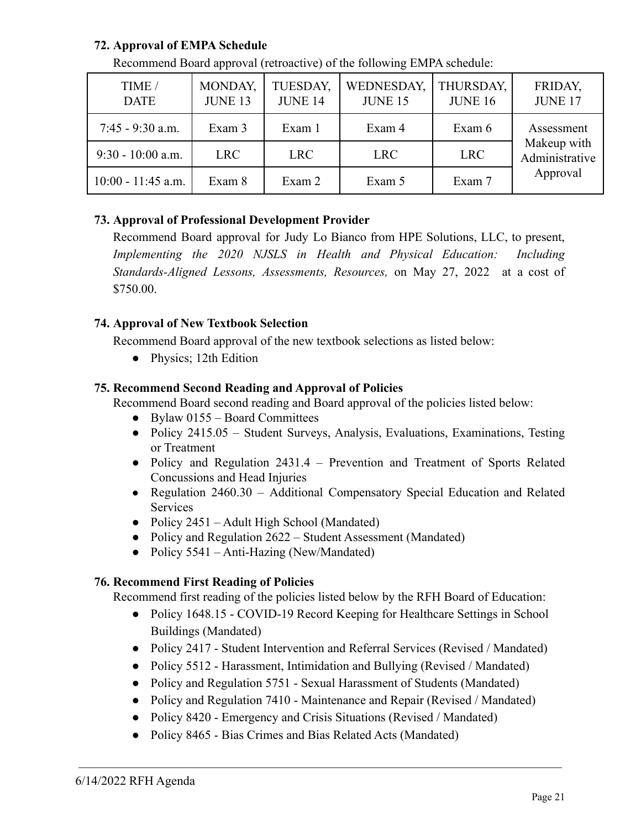## **72. Approval of EMPA Schedule**

| TIME /<br><b>DATE</b> | MONDAY,<br><b>JUNE 13</b> | TUESDAY,<br><b>JUNE 14</b> | WEDNESDAY,<br><b>JUNE 15</b> | THURSDAY,<br><b>JUNE 16</b> | FRIDAY,<br><b>JUNE 17</b>                 |
|-----------------------|---------------------------|----------------------------|------------------------------|-----------------------------|-------------------------------------------|
| $7:45 - 9:30$ a.m.    | Exam 3                    | Exam 1                     | Exam 4                       | Exam 6                      | Assessment                                |
| $9:30 - 10:00$ a.m.   | LRC                       | <b>LRC</b>                 | LRC                          | <b>LRC</b>                  | Makeup with<br>Administrative<br>Approval |
| $10:00 - 11:45$ a.m.  | Exam 8                    | Exam 2                     | Exam 5                       | Exam 7                      |                                           |

Recommend Board approval (retroactive) of the following EMPA schedule:

## **73. Approval of Professional Development Provider**

Recommend Board approval for Judy Lo Bianco from HPE Solutions, LLC, to present, *Implementing the 2020 NJSLS in Health and Physical Education: Including Standards-Aligned Lessons, Assessments, Resources,* on May 27, 2022 at a cost of \$750.00.

## **74. Approval of New Textbook Selection**

Recommend Board approval of the new textbook selections as listed below:

• Physics; 12th Edition

## **75. Recommend Second Reading and Approval of Policies**

Recommend Board second reading and Board approval of the policies listed below:

- $\bullet$  Bylaw 0155 Board Committees
- Policy 2415.05 Student Surveys, Analysis, Evaluations, Examinations, Testing or Treatment
- Policy and Regulation 2431.4 Prevention and Treatment of Sports Related Concussions and Head Injuries
- Regulation 2460.30 Additional Compensatory Special Education and Related Services
- Policy 2451 Adult High School (Mandated)
- Policy and Regulation 2622 Student Assessment (Mandated)
- Policy 5541 Anti-Hazing (New/Mandated)

## **76. Recommend First Reading of Policies**

Recommend first reading of the policies listed below by the RFH Board of Education:

- Policy 1648.15 COVID-19 Record Keeping for Healthcare Settings in School Buildings (Mandated)
- Policy 2417 Student Intervention and Referral Services (Revised / Mandated)
- Policy 5512 Harassment, Intimidation and Bullying (Revised / Mandated)
- Policy and Regulation 5751 Sexual Harassment of Students (Mandated)
- Policy and Regulation 7410 Maintenance and Repair (Revised / Mandated)
- Policy 8420 Emergency and Crisis Situations (Revised / Mandated)
- Policy 8465 Bias Crimes and Bias Related Acts (Mandated)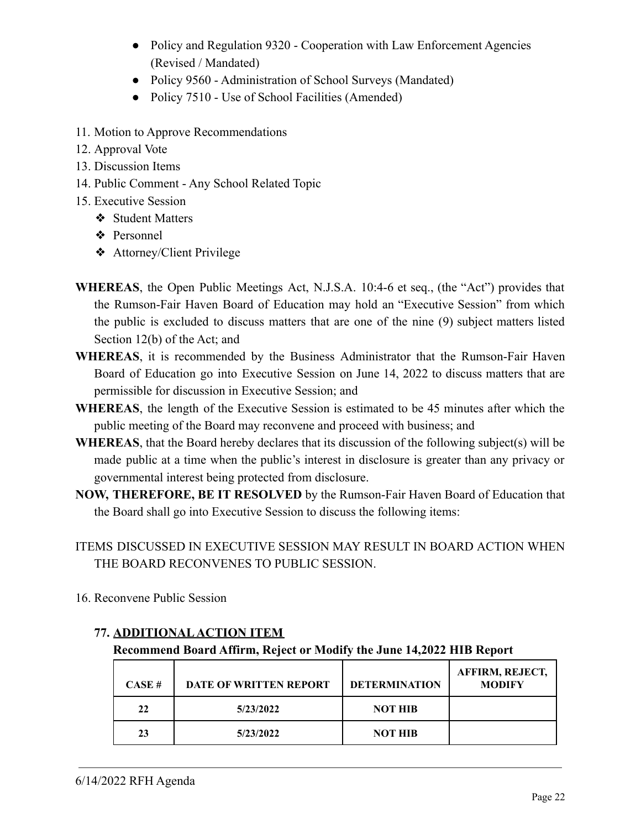- Policy and Regulation 9320 Cooperation with Law Enforcement Agencies (Revised / Mandated)
- Policy 9560 Administration of School Surveys (Mandated)
- Policy 7510 Use of School Facilities (Amended)
- 11. Motion to Approve Recommendations
- 12. Approval Vote
- 13. Discussion Items
- 14. Public Comment Any School Related Topic
- 15. Executive Session
	- ❖ Student Matters
	- ❖ Personnel
	- ❖ Attorney/Client Privilege
- **WHEREAS**, the Open Public Meetings Act, N.J.S.A. 10:4-6 et seq., (the "Act") provides that the Rumson-Fair Haven Board of Education may hold an "Executive Session" from which the public is excluded to discuss matters that are one of the nine (9) subject matters listed Section 12(b) of the Act; and
- **WHEREAS**, it is recommended by the Business Administrator that the Rumson-Fair Haven Board of Education go into Executive Session on June 14, 2022 to discuss matters that are permissible for discussion in Executive Session; and
- **WHEREAS**, the length of the Executive Session is estimated to be 45 minutes after which the public meeting of the Board may reconvene and proceed with business; and
- **WHEREAS**, that the Board hereby declares that its discussion of the following subject(s) will be made public at a time when the public's interest in disclosure is greater than any privacy or governmental interest being protected from disclosure.
- **NOW, THEREFORE, BE IT RESOLVED** by the Rumson-Fair Haven Board of Education that the Board shall go into Executive Session to discuss the following items:
- ITEMS DISCUSSED IN EXECUTIVE SESSION MAY RESULT IN BOARD ACTION WHEN THE BOARD RECONVENES TO PUBLIC SESSION.
- 16. Reconvene Public Session

# **77. ADDITIONALACTION ITEM**

## **Recommend Board Affirm, Reject or Modify the June 14,2022 HIB Report**

| CASE H | <b>DATE OF WRITTEN REPORT</b> | <b>DETERMINATION</b> | <b>AFFIRM, REJECT,</b><br><b>MODIFY</b> |
|--------|-------------------------------|----------------------|-----------------------------------------|
| 22     | 5/23/2022                     | <b>NOT HIB</b>       |                                         |
| 23     | 5/23/2022                     | <b>NOT HIB</b>       |                                         |